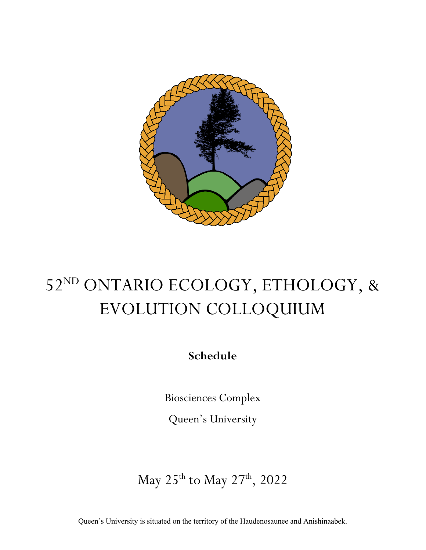

# 52ND ONTARIO ECOLOGY, ETHOLOGY, & EVOLUTION COLLOQUIUM

**Schedule**

Biosciences Complex

Queen's University

May 25<sup>th</sup> to May 27<sup>th</sup>, 2022

Queen's University is situated on the territory of the Haudenosaunee and Anishinaabek.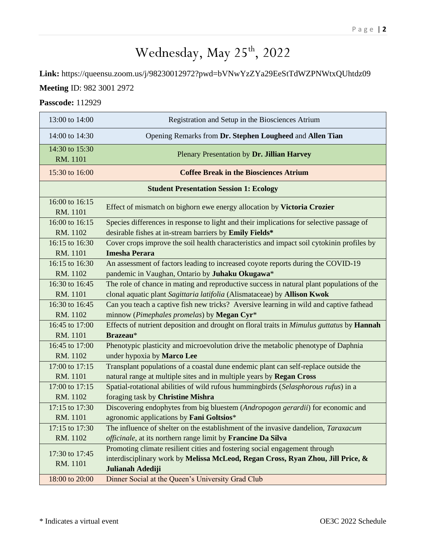## Wednesday, May 25<sup>th</sup>, 2022

**Link:** https://queensu.zoom.us/j/98230012972?pwd=bVNwYzZYa29EeStTdWZPNWtxQUhtdz09

### **Meeting** ID: 982 3001 2972

### **Passcode:** 112929

| 13:00 to 14:00                                 | Registration and Setup in the Biosciences Atrium                                                                                                                                  |  |  |  |
|------------------------------------------------|-----------------------------------------------------------------------------------------------------------------------------------------------------------------------------------|--|--|--|
| 14:00 to 14:30                                 | Opening Remarks from Dr. Stephen Lougheed and Allen Tian                                                                                                                          |  |  |  |
| 14:30 to 15:30<br>RM. 1101                     | Plenary Presentation by Dr. Jillian Harvey                                                                                                                                        |  |  |  |
| 15:30 to 16:00                                 | <b>Coffee Break in the Biosciences Atrium</b>                                                                                                                                     |  |  |  |
| <b>Student Presentation Session 1: Ecology</b> |                                                                                                                                                                                   |  |  |  |
| 16:00 to 16:15<br>RM. 1101                     | Effect of mismatch on bighorn ewe energy allocation by Victoria Crozier                                                                                                           |  |  |  |
| 16:00 to 16:15                                 | Species differences in response to light and their implications for selective passage of                                                                                          |  |  |  |
| RM. 1102                                       | desirable fishes at in-stream barriers by Emily Fields*                                                                                                                           |  |  |  |
| 16:15 to 16:30                                 | Cover crops improve the soil health characteristics and impact soil cytokinin profiles by                                                                                         |  |  |  |
| RM. 1101                                       | <b>Imesha Perara</b>                                                                                                                                                              |  |  |  |
| 16:15 to 16:30                                 | An assessment of factors leading to increased coyote reports during the COVID-19                                                                                                  |  |  |  |
| RM. 1102                                       | pandemic in Vaughan, Ontario by Juhaku Okugawa*                                                                                                                                   |  |  |  |
| 16:30 to 16:45                                 | The role of chance in mating and reproductive success in natural plant populations of the                                                                                         |  |  |  |
| RM. 1101                                       | clonal aquatic plant Sagittaria latifolia (Alismataceae) by Allison Kwok                                                                                                          |  |  |  |
| 16:30 to 16:45                                 | Can you teach a captive fish new tricks? Aversive learning in wild and captive fathead                                                                                            |  |  |  |
| RM. 1102                                       | minnow (Pimephales promelas) by Megan Cyr*                                                                                                                                        |  |  |  |
| 16:45 to 17:00                                 | Effects of nutrient deposition and drought on floral traits in Mimulus guttatus by Hannah                                                                                         |  |  |  |
| RM. 1101                                       | Brazeau*                                                                                                                                                                          |  |  |  |
| 16:45 to 17:00                                 | Phenotypic plasticity and microevolution drive the metabolic phenotype of Daphnia                                                                                                 |  |  |  |
| RM. 1102                                       | under hypoxia by Marco Lee                                                                                                                                                        |  |  |  |
| 17:00 to 17:15                                 | Transplant populations of a coastal dune endemic plant can self-replace outside the                                                                                               |  |  |  |
| RM. 1101                                       | natural range at multiple sites and in multiple years by Regan Cross                                                                                                              |  |  |  |
| 17:00 to 17:15                                 | Spatial-rotational abilities of wild rufous hummingbirds (Selasphorous rufus) in a                                                                                                |  |  |  |
| RM. 1102                                       | foraging task by Christine Mishra                                                                                                                                                 |  |  |  |
| 17:15 to 17:30                                 | Discovering endophytes from big bluestem (Andropogon gerardii) for economic and                                                                                                   |  |  |  |
| RM. 1101                                       | agronomic applications by Fani Goltsios*                                                                                                                                          |  |  |  |
| 17:15 to 17:30                                 | The influence of shelter on the establishment of the invasive dandelion, Taraxacum                                                                                                |  |  |  |
| RM. 1102                                       | officinale, at its northern range limit by Francine Da Silva                                                                                                                      |  |  |  |
| 17:30 to 17:45<br>RM. 1101                     | Promoting climate resilient cities and fostering social engagement through<br>interdisciplinary work by Melissa McLeod, Regan Cross, Ryan Zhou, Jill Price, &<br>Julianah Adediji |  |  |  |
| 18:00 to 20:00                                 | Dinner Social at the Queen's University Grad Club                                                                                                                                 |  |  |  |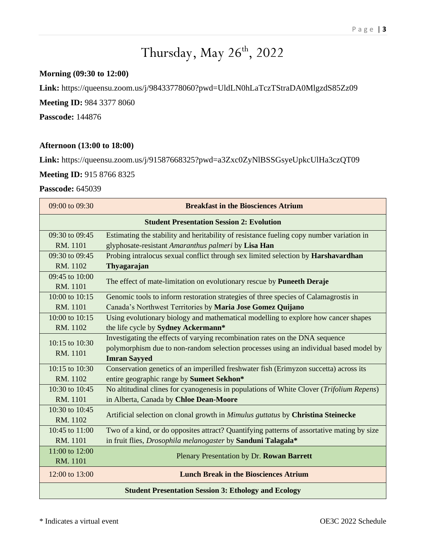## Thursday, May 26<sup>th</sup>, 2022

### **Morning (09:30 to 12:00)**

**Link:** https://queensu.zoom.us/j/98433778060?pwd=UldLN0hLaTczTStraDA0MlgzdS85Zz09

**Meeting ID:** 984 3377 8060

**Passcode:** 144876

#### **Afternoon (13:00 to 18:00)**

**Link:** https://queensu.zoom.us/j/91587668325?pwd=a3Zxc0ZyNlBSSGsyeUpkcUlHa3czQT09

**Meeting ID:** 915 8766 8325

### **Passcode:** 645039

| 09:00 to 09:30                                   | <b>Breakfast in the Biosciences Atrium</b>                                                 |  |  |  |
|--------------------------------------------------|--------------------------------------------------------------------------------------------|--|--|--|
| <b>Student Presentation Session 2: Evolution</b> |                                                                                            |  |  |  |
| 09:30 to 09:45                                   | Estimating the stability and heritability of resistance fueling copy number variation in   |  |  |  |
| RM. 1101                                         | glyphosate-resistant Amaranthus palmeri by Lisa Han                                        |  |  |  |
| 09:30 to 09:45                                   | Probing intralocus sexual conflict through sex limited selection by Harshavardhan          |  |  |  |
| RM. 1102                                         | Thyagarajan                                                                                |  |  |  |
| 09:45 to 10:00                                   |                                                                                            |  |  |  |
| RM. 1101                                         | The effect of mate-limitation on evolutionary rescue by Puneeth Deraje                     |  |  |  |
| $10:00$ to $10:15$                               | Genomic tools to inform restoration strategies of three species of Calamagrostis in        |  |  |  |
| RM. 1101                                         | Canada's Northwest Territories by Maria Jose Gomez Quijano                                 |  |  |  |
| 10:00 to $10:15$                                 | Using evolutionary biology and mathematical modelling to explore how cancer shapes         |  |  |  |
| RM. 1102                                         | the life cycle by Sydney Ackermann*                                                        |  |  |  |
|                                                  | Investigating the effects of varying recombination rates on the DNA sequence               |  |  |  |
| 10:15 to 10:30<br>RM. 1101                       | polymorphism due to non-random selection processes using an individual based model by      |  |  |  |
|                                                  | <b>Imran Sayyed</b>                                                                        |  |  |  |
| 10:15 to 10:30                                   | Conservation genetics of an imperilled freshwater fish (Erimyzon succetta) across its      |  |  |  |
| RM. 1102                                         | entire geographic range by Sumeet Sekhon*                                                  |  |  |  |
| 10:30 to 10:45                                   | No altitudinal clines for cyanogenesis in populations of White Clover (Trifolium Repens)   |  |  |  |
| RM. 1101                                         | in Alberta, Canada by Chloe Dean-Moore                                                     |  |  |  |
| 10:30 to 10:45                                   |                                                                                            |  |  |  |
| RM. 1102                                         | Artificial selection on clonal growth in Mimulus guttatus by Christina Steinecke           |  |  |  |
| 10:45 to 11:00                                   | Two of a kind, or do opposites attract? Quantifying patterns of assortative mating by size |  |  |  |
| RM. 1101                                         | in fruit flies, Drosophila melanogaster by Sanduni Talagala*                               |  |  |  |
| 11:00 to 12:00                                   |                                                                                            |  |  |  |
| RM. 1101                                         | Plenary Presentation by Dr. Rowan Barrett                                                  |  |  |  |
| 12:00 to 13:00                                   | <b>Lunch Break in the Biosciences Atrium</b>                                               |  |  |  |
|                                                  | <b>Student Presentation Session 3: Ethology and Ecology</b>                                |  |  |  |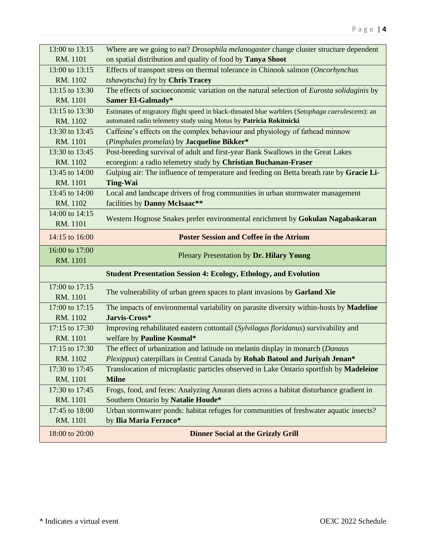| 13:00 to 13:15             | Where are we going to eat? <i>Drosophila melanogaster</i> change cluster structure dependent             |  |  |  |
|----------------------------|----------------------------------------------------------------------------------------------------------|--|--|--|
| RM. 1101                   | on spatial distribution and quality of food by Tanya Shoot                                               |  |  |  |
| 13:00 to 13:15             | Effects of transport stress on thermal tolerance in Chinook salmon (Oncorhynchus                         |  |  |  |
| RM. 1102                   | tshawytscha) fry by Chris Tracey                                                                         |  |  |  |
| 13:15 to 13:30             | The effects of socioeconomic variation on the natural selection of Eurosta solidaginis by                |  |  |  |
| RM. 1101                   | Samer El-Galmady*                                                                                        |  |  |  |
| 13:15 to 13:30             | Estimates of migratory flight speed in black-throated blue warblers (Setophaga caerulescens): an         |  |  |  |
| RM. 1102                   | automated radio telemetry study using Motus by Patricia Rokitnicki                                       |  |  |  |
| 13:30 to 13:45             | Caffeine's effects on the complex behaviour and physiology of fathead minnow                             |  |  |  |
| RM. 1101                   | (Pimphales promelas) by Jacqueline Bikker*                                                               |  |  |  |
| 13:30 to 13:45             | Post-breeding survival of adult and first-year Bank Swallows in the Great Lakes                          |  |  |  |
| RM. 1102                   | ecoregion: a radio telemetry study by Christian Buchanan-Fraser                                          |  |  |  |
| 13:45 to 14:00             | Gulping air: The influence of temperature and feeding on Betta breath rate by Gracie Li-                 |  |  |  |
| RM. 1101                   | <b>Ting-Wai</b>                                                                                          |  |  |  |
| 13:45 to 14:00             | Local and landscape drivers of frog communities in urban stormwater management                           |  |  |  |
| RM. 1102                   | facilities by Danny McIsaac**                                                                            |  |  |  |
| 14:00 to 14:15             | Western Hognose Snakes prefer environmental enrichment by Gokulan Nagabaskaran                           |  |  |  |
| RM. 1101                   |                                                                                                          |  |  |  |
| 14:15 to 16:00             | <b>Poster Session and Coffee in the Atrium</b>                                                           |  |  |  |
|                            |                                                                                                          |  |  |  |
| 16:00 to 17:00<br>RM. 1101 | Plenary Presentation by Dr. Hilary Young                                                                 |  |  |  |
|                            | <b>Student Presentation Session 4: Ecology, Ethology, and Evolution</b>                                  |  |  |  |
| 17:00 to 17:15             |                                                                                                          |  |  |  |
| RM. 1101                   | The vulnerability of urban green spaces to plant invasions by Garland Xie                                |  |  |  |
| 17:00 to 17:15             |                                                                                                          |  |  |  |
| RM. 1102                   | The impacts of environmental variability on parasite diversity within-hosts by Madeline<br>Jarvis-Cross* |  |  |  |
| 17:15 to 17:30             | Improving rehabilitated eastern cottontail (Sylvilagus floridanus) survivability and                     |  |  |  |
| RM. 1101                   | welfare by Pauline Kosmal*                                                                               |  |  |  |
| 17:15 to 17:30             | The effect of urbanization and latitude on melanin display in monarch (Danaus                            |  |  |  |
| RM. 1102                   | Plexippus) caterpillars in Central Canada by Rohab Batool and Juriyah Jenan*                             |  |  |  |
| 17:30 to 17:45             | Translocation of microplastic particles observed in Lake Ontario sportfish by Madeleine                  |  |  |  |
| RM. 1101                   | <b>Milne</b>                                                                                             |  |  |  |
| 17:30 to 17:45             | Frogs, food, and feces: Analyzing Anuran diets across a habitat disturbance gradient in                  |  |  |  |
| RM. 1101                   | Southern Ontario by Natalie Houde*                                                                       |  |  |  |
| 17:45 to 18:00             | Urban stormwater ponds: habitat refuges for communities of freshwater aquatic insects?                   |  |  |  |
| RM. 1101                   | by Ilia Maria Ferzoco*                                                                                   |  |  |  |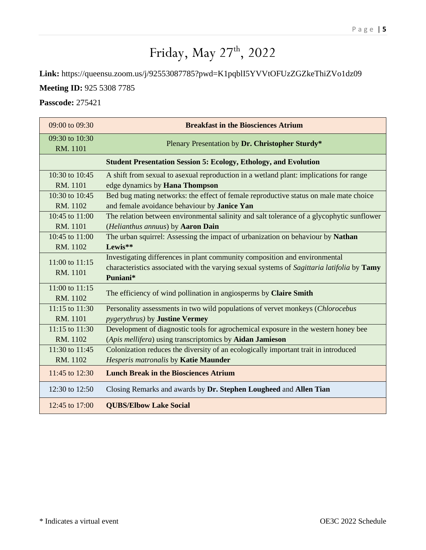## Friday, May 27<sup>th</sup>, 2022

**Link:** https://queensu.zoom.us/j/92553087785?pwd=K1pqblI5YVVtOFUzZGZkeThiZVo1dz09

**Meeting ID:** 925 5308 7785

**Passcode:** 275421

| 09:00 to 09:30             | <b>Breakfast in the Biosciences Atrium</b>                                                                                                                                           |  |  |  |
|----------------------------|--------------------------------------------------------------------------------------------------------------------------------------------------------------------------------------|--|--|--|
| 09:30 to 10:30<br>RM. 1101 | Plenary Presentation by Dr. Christopher Sturdy*                                                                                                                                      |  |  |  |
|                            | <b>Student Presentation Session 5: Ecology, Ethology, and Evolution</b>                                                                                                              |  |  |  |
| 10:30 to 10:45             | A shift from sexual to asexual reproduction in a wetland plant: implications for range                                                                                               |  |  |  |
| RM. 1101                   | edge dynamics by Hana Thompson                                                                                                                                                       |  |  |  |
| 10:30 to 10:45             | Bed bug mating networks: the effect of female reproductive status on male mate choice                                                                                                |  |  |  |
| RM. 1102                   | and female avoidance behaviour by Janice Yan                                                                                                                                         |  |  |  |
| 10:45 to 11:00             | The relation between environmental salinity and salt tolerance of a glycophytic sunflower                                                                                            |  |  |  |
| RM. 1101                   | (Helianthus annuus) by Aaron Dain                                                                                                                                                    |  |  |  |
| $10:45$ to $11:00$         | The urban squirrel: Assessing the impact of urbanization on behaviour by Nathan                                                                                                      |  |  |  |
| RM. 1102                   | Lewis**                                                                                                                                                                              |  |  |  |
| 11:00 to 11:15<br>RM. 1101 | Investigating differences in plant community composition and environmental<br>characteristics associated with the varying sexual systems of Sagittaria latifolia by Tamy<br>Puniani* |  |  |  |
| 11:00 to 11:15<br>RM. 1102 | The efficiency of wind pollination in angiosperms by Claire Smith                                                                                                                    |  |  |  |
| 11:15 to 11:30             | Personality assessments in two wild populations of vervet monkeys (Chlorocebus                                                                                                       |  |  |  |
| RM. 1101                   | <i>pygerythrus</i> ) by <b>Justine Vermey</b>                                                                                                                                        |  |  |  |
| 11:15 to 11:30             | Development of diagnostic tools for agrochemical exposure in the western honey bee                                                                                                   |  |  |  |
| RM. 1102                   | (Apis mellifera) using transcriptomics by Aidan Jamieson                                                                                                                             |  |  |  |
| 11:30 to 11:45             | Colonization reduces the diversity of an ecologically important trait in introduced                                                                                                  |  |  |  |
| RM. 1102                   | Hesperis matronalis by Katie Maunder                                                                                                                                                 |  |  |  |
| 11:45 to 12:30             | <b>Lunch Break in the Biosciences Atrium</b>                                                                                                                                         |  |  |  |
| 12:30 to 12:50             | Closing Remarks and awards by Dr. Stephen Lougheed and Allen Tian                                                                                                                    |  |  |  |
| 12:45 to 17:00             | <b>QUBS/Elbow Lake Social</b>                                                                                                                                                        |  |  |  |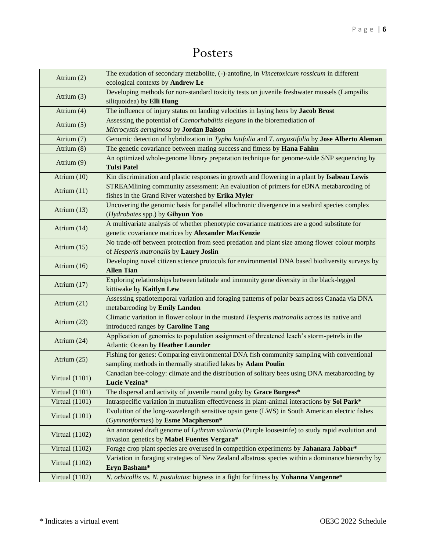## Posters

| Atrium (2)       | The exudation of secondary metabolite, (-)-antofine, in Vincetoxicum rossicum in different<br>ecological contexts by Andrew Le |  |  |  |  |
|------------------|--------------------------------------------------------------------------------------------------------------------------------|--|--|--|--|
| Atrium $(3)$     | Developing methods for non-standard toxicity tests on juvenile freshwater mussels (Lampsilis<br>siliquoidea) by Elli Hung      |  |  |  |  |
| Atrium (4)       | The influence of injury status on landing velocities in laying hens by Jacob Brost                                             |  |  |  |  |
|                  | Assessing the potential of Caenorhabditis elegans in the bioremediation of                                                     |  |  |  |  |
| Atrium $(5)$     | Microcystis aeruginosa by Jordan Balson                                                                                        |  |  |  |  |
| Atrium (7)       | Genomic detection of hybridization in Typha latifolia and T. angustifolia by Jose Alberto Aleman                               |  |  |  |  |
| Atrium (8)       | The genetic covariance between mating success and fitness by Hana Fahim                                                        |  |  |  |  |
| Atrium (9)       | An optimized whole-genome library preparation technique for genome-wide SNP sequencing by<br><b>Tulsi Patel</b>                |  |  |  |  |
| Atrium (10)      | Kin discrimination and plastic responses in growth and flowering in a plant by Isabeau Lewis                                   |  |  |  |  |
|                  | STREAMlining community assessment: An evaluation of primers for eDNA metabarcoding of                                          |  |  |  |  |
| Atrium (11)      | fishes in the Grand River watershed by Erika Myler                                                                             |  |  |  |  |
|                  | Uncovering the genomic basis for parallel allochronic divergence in a seabird species complex                                  |  |  |  |  |
| Atrium (13)      | (Hydrobates spp.) by Gihyun Yoo                                                                                                |  |  |  |  |
|                  | A multivariate analysis of whether phenotypic covariance matrices are a good substitute for                                    |  |  |  |  |
| Atrium (14)      | genetic covariance matrices by Alexander MacKenzie                                                                             |  |  |  |  |
|                  | No trade-off between protection from seed predation and plant size among flower colour morphs                                  |  |  |  |  |
| Atrium $(15)$    | of Hesperis matronalis by Laury Joslin                                                                                         |  |  |  |  |
| Atrium $(16)$    | Developing novel citizen science protocols for environmental DNA based biodiversity surveys by                                 |  |  |  |  |
|                  | <b>Allen Tian</b>                                                                                                              |  |  |  |  |
| Atrium (17)      | Exploring relationships between latitude and immunity gene diversity in the black-legged                                       |  |  |  |  |
|                  | kittiwake by Kaitlyn Lew                                                                                                       |  |  |  |  |
| Atrium (21)      | Assessing spatiotemporal variation and foraging patterns of polar bears across Canada via DNA                                  |  |  |  |  |
|                  | metabarcoding by Emily Landon                                                                                                  |  |  |  |  |
| Atrium $(23)$    | Climatic variation in flower colour in the mustard Hesperis matronalis across its native and                                   |  |  |  |  |
|                  | introduced ranges by Caroline Tang                                                                                             |  |  |  |  |
| Atrium (24)      | Application of genomics to population assignment of threatened leach's storm-petrels in the                                    |  |  |  |  |
|                  | <b>Atlantic Ocean by Heather Lounder</b>                                                                                       |  |  |  |  |
| Atrium (25)      | Fishing for genes: Comparing environmental DNA fish community sampling with conventional                                       |  |  |  |  |
|                  | sampling methods in thermally stratified lakes by Adam Poulin                                                                  |  |  |  |  |
| Virtual $(1101)$ | Canadian bee-cology: climate and the distribution of solitary bees using DNA metabarcoding by                                  |  |  |  |  |
|                  | Lucie Vezina*                                                                                                                  |  |  |  |  |
| Virtual $(1101)$ | The dispersal and activity of juvenile round goby by Grace Burgess*                                                            |  |  |  |  |
| Virtual $(1101)$ | Intraspecific variation in mutualism effectiveness in plant-animal interactions by Sol Park*                                   |  |  |  |  |
| Virtual $(1101)$ | Evolution of the long-wavelength sensitive opsin gene (LWS) in South American electric fishes                                  |  |  |  |  |
|                  | (Gymnotiformes) by Esme Macpherson*                                                                                            |  |  |  |  |
| Virtual $(1102)$ | An annotated draft genome of Lythrum salicaria (Purple loosestrife) to study rapid evolution and                               |  |  |  |  |
|                  | invasion genetics by Mabel Fuentes Vergara*                                                                                    |  |  |  |  |
| Virtual $(1102)$ | Forage crop plant species are overused in competition experiments by Jahanara Jabbar*                                          |  |  |  |  |
| Virtual $(1102)$ | Variation in foraging strategies of New Zealand albatross species within a dominance hierarchy by<br>Eryn Basham*              |  |  |  |  |
| Virtual $(1102)$ | N. orbicollis vs. N. pustulatus: bigness in a fight for fitness by Yohanna Vangenne*                                           |  |  |  |  |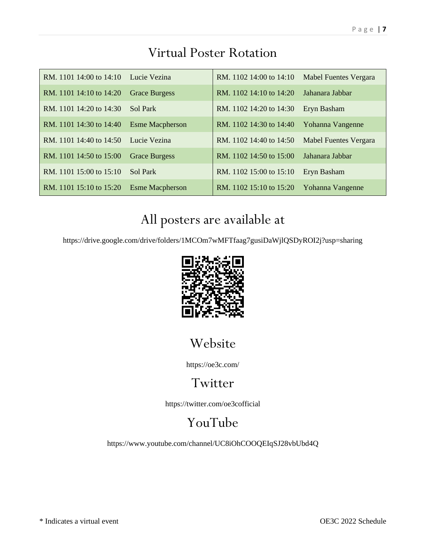| RM. 1101 14:00 to 14:10 Lucie Vezina |                        | RM. 1102 14:00 to 14:10 Mabel Fuentes Vergara |                              |
|--------------------------------------|------------------------|-----------------------------------------------|------------------------------|
| RM. 1101 14:10 to 14:20              | <b>Grace Burgess</b>   | RM, 1102 14:10 to 14:20                       | Jahanara Jabbar              |
| RM, 1101 14:20 to 14:30              | Sol Park               | RM. 1102 14:20 to 14:30                       | Eryn Basham                  |
| RM. 1101 14:30 to 14:40              | <b>Esme Macpherson</b> | RM. 1102 14:30 to 14:40                       | Yohanna Vangenne             |
| RM. 1101 14:40 to 14:50 Lucie Vezina |                        | RM. 1102 14:40 to 14:50                       | <b>Mabel Fuentes Vergara</b> |
| RM. 1101 14:50 to 15:00              | <b>Grace Burgess</b>   | RM. 1102 14:50 to 15:00 Jahanara Jabbar       |                              |
| RM. 1101 15:00 to 15:10              | Sol Park               | RM. 1102 15:00 to 15:10                       | Eryn Basham                  |
| RM. 1101 15:10 to 15:20              | <b>Esme Macpherson</b> | RM. 1102 15:10 to 15:20                       | Yohanna Vangenne             |

## Virtual Poster Rotation

## All posters are available at

https://drive.google.com/drive/folders/1MCOm7wMFTfaag7gusiDaWjlQSDyROI2j?usp=sharing



## Website

https://oe3c.com/

### Twitter

https://twitter.com/oe3cofficial

## YouTube

https://www.youtube.com/channel/UC8iOhCOOQEIqSJ28vbUbd4Q